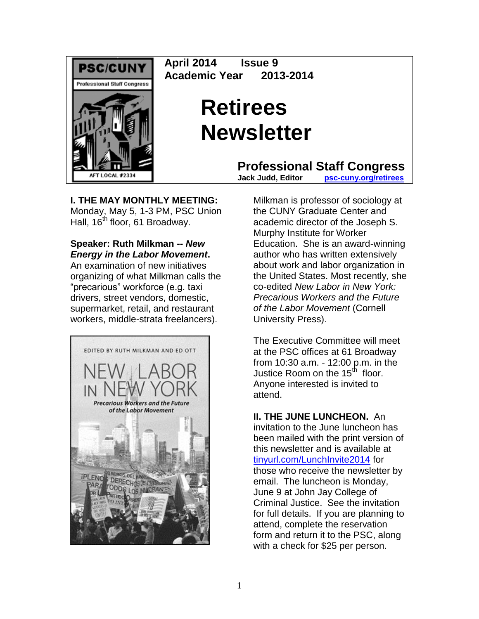

**April 2014 Issue 9 Academic Year 2013-2014**

# **Retirees Newsletter**

**Professional Staff Congress**<br>Jack Judd. Editor **psc-cuny.org/retirees** 

**Jack Judd, Editor [psc-cuny.org/retirees](http://www.psc-cuny.org/retirees)**

**I. THE MAY MONTHLY MEETING:** Monday, May 5, 1-3 PM, PSC Union Hall, 16<sup>th</sup> floor, 61 Broadway.

**Speaker: Ruth Milkman --** *New Energy in the Labor Movement***.** 

An examination of new initiatives organizing of what Milkman calls the "precarious" workforce (e.g. taxi drivers, street vendors, domestic, supermarket, retail, and restaurant workers, middle-strata freelancers).



Milkman is professor of sociology at the CUNY Graduate Center and academic director of the Joseph S. Murphy Institute for Worker Education. She is an award-winning author who has written extensively about work and labor organization in the United States. Most recently, she co-edited *New Labor in New York: Precarious Workers and the Future of the Labor Movement* (Cornell University Press).

The Executive Committee will meet at the PSC offices at 61 Broadway from 10:30 a.m. - 12:00 p.m. in the Justice Room on the 15<sup>th</sup> floor. Anyone interested is invited to attend.

**II. THE JUNE LUNCHEON.** An invitation to the June luncheon has been mailed with the print version of this newsletter and is available at [tinyurl.com/LunchInvite2014](http://tinyurl.com/LunchInvite2014) for those who receive the newsletter by email. The luncheon is Monday, June 9 at John Jay College of Criminal Justice. See the invitation for full details. If you are planning to attend, complete the reservation form and return it to the PSC, along with a check for \$25 per person.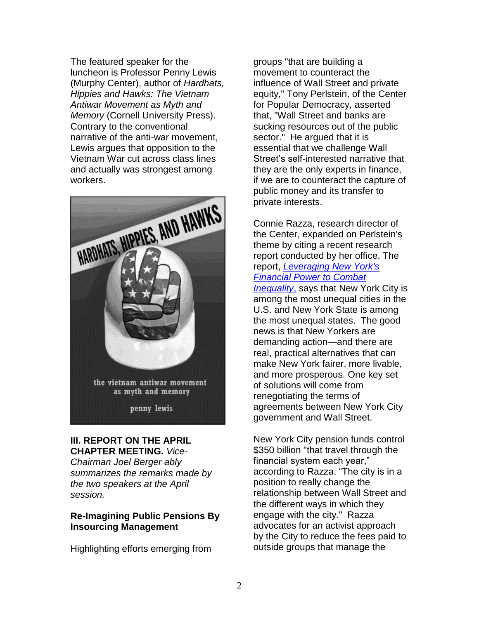The featured speaker for the luncheon is Professor Penny Lewis (Murphy Center), author of *Hardhats, Hippies and Hawks: The Vietnam Antiwar Movement as Myth and Memory* (Cornell University Press). Contrary to the conventional narrative of the anti-war movement, Lewis argues that opposition to the Vietnam War cut across class lines and actually was strongest among workers.



# **III. REPORT ON THE APRIL**

**CHAPTER MEETING.** *Vice-Chairman Joel Berger ably summarizes the remarks made by the two speakers at the April session.*

#### **Re-Imagining Public Pensions By Insourcing Management**

Highlighting efforts emerging from

groups "that are building a movement to counteract the influence of Wall Street and private equity," Tony Perlstein, of the Center for Popular Democracy, asserted that, "Wall Street and banks are sucking resources out of the public sector." He argued that it is essential that we challenge Wall Street's self-interested narrative that they are the only experts in finance, if we are to counteract the capture of public money and its transfer to private interests.

Connie Razza, research director of the Center, expanded on Perlstein's theme by citing a recent research report conducted by her office. The report, *[Leveraging New York's](http://populardemocracy.org/sites/default/files/2013-11-25_one-new-york-report-UPDATED.PDF)  [Financial Power to Combat](http://populardemocracy.org/sites/default/files/2013-11-25_one-new-york-report-UPDATED.PDF)  [Inequality](http://populardemocracy.org/sites/default/files/2013-11-25_one-new-york-report-UPDATED.PDF)*, says that New York City is among the most unequal cities in the U.S. and New York State is among the most unequal states. The good news is that New Yorkers are demanding action—and there are real, practical alternatives that can make New York fairer, more livable, and more prosperous. One key set of solutions will come from renegotiating the terms of agreements between New York City government and Wall Street.

New York City pension funds control \$350 billion "that travel through the financial system each year," according to Razza. "The city is in a position to really change the relationship between Wall Street and the different ways in which they engage with the city." Razza advocates for an activist approach by the City to reduce the fees paid to outside groups that manage the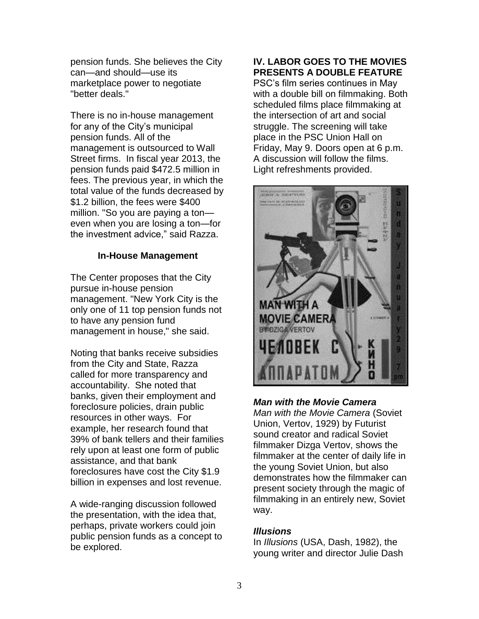pension funds. She believes the City can—and should—use its marketplace power to negotiate "better deals."

There is no in-house management for any of the City's municipal pension funds. All of the management is outsourced to Wall Street firms. In fiscal year 2013, the pension funds paid \$472.5 million in fees. The previous year, in which the total value of the funds decreased by \$1.2 billion, the fees were \$400 million. "So you are paying a ton even when you are losing a ton—for the investment advice," said Razza.

#### **In-House Management**

The Center proposes that the City pursue in-house pension management. "New York City is the only one of 11 top pension funds not to have any pension fund management in house," she said.

Noting that banks receive subsidies from the City and State, Razza called for more transparency and accountability. She noted that banks, given their employment and foreclosure policies, drain public resources in other ways. For example, her research found that 39% of bank tellers and their families rely upon at least one form of public assistance, and that bank foreclosures have cost the City \$1.9 billion in expenses and lost revenue.

A wide-ranging discussion followed the presentation, with the idea that, perhaps, private workers could join public pension funds as a concept to be explored.

#### **IV. LABOR GOES TO THE MOVIES PRESENTS A DOUBLE FEATURE**

PSC's film series continues in May with a double bill on filmmaking. Both scheduled films place filmmaking at the intersection of art and social struggle. The screening will take place in the PSC Union Hall on Friday, May 9. Doors open at 6 p.m. A discussion will follow the films. Light refreshments provided.



### *Man with the Movie Camera*

*Man with the Movie Camera* (Soviet Union, Vertov, 1929) by Futurist sound creator and radical Soviet filmmaker Dizga Vertov, shows the filmmaker at the center of daily life in the young Soviet Union, but also demonstrates how the filmmaker can present society through the magic of filmmaking in an entirely new, Soviet way.

#### *Illusions*

In *Illusions* (USA, Dash, 1982), the young writer and director Julie Dash